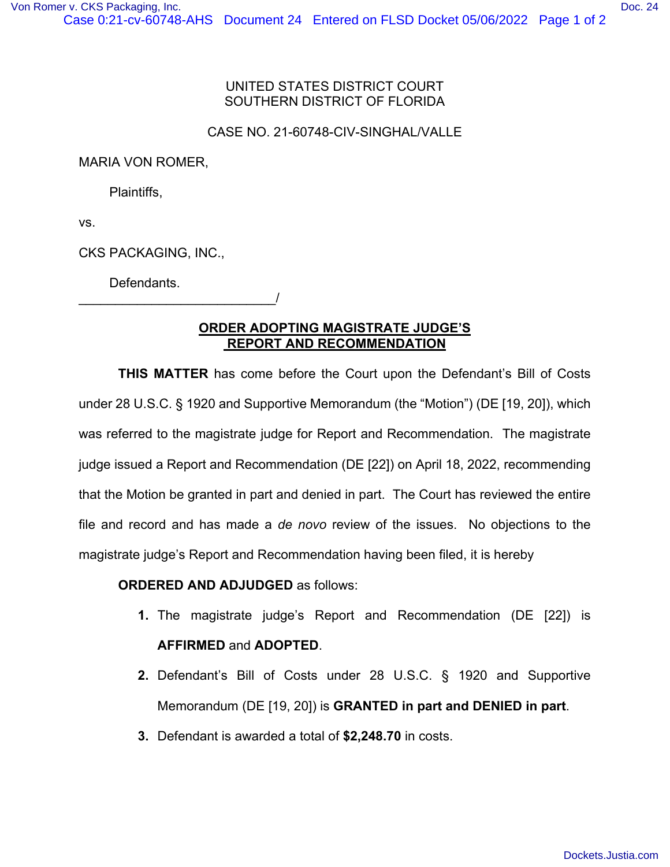## UNITED STATES DISTRICT COURT SOUTHERN DISTRICT OF FLORIDA

## CASE NO. 21-60748-CIV-SINGHAL/VALLE

MARIA VON ROMER,

Plaintiffs,

vs.

CKS PACKAGING, INC.,

\_\_\_\_\_\_\_\_\_\_\_\_\_\_\_\_\_\_\_\_\_\_\_\_\_\_\_/

Defendants.

## **ORDER ADOPTING MAGISTRATE JUDGE'S REPORT AND RECOMMENDATION**

**THIS MATTER** has come before the Court upon the Defendant's Bill of Costs under 28 U.S.C. § 1920 and Supportive Memorandum (the "Motion") (DE [19, 20]), which was referred to the magistrate judge for Report and Recommendation. The magistrate judge issued a Report and Recommendation (DE [22]) on April 18, 2022, recommending that the Motion be granted in part and denied in part. The Court has reviewed the entire file and record and has made a *de novo* review of the issues. No objections to the magistrate judge's Report and Recommendation having been filed, it is hereby

## **ORDERED AND ADJUDGED** as follows:

- **1.** The magistrate judge's Report and Recommendation (DE [22]) is **AFFIRMED** and **ADOPTED**.
- **2.** Defendant's Bill of Costs under 28 U.S.C. § 1920 and Supportive Memorandum (DE [19, 20]) is **GRANTED in part and DENIED in part**.
- **3.** Defendant is awarded a total of **\$2,248.70** in costs.